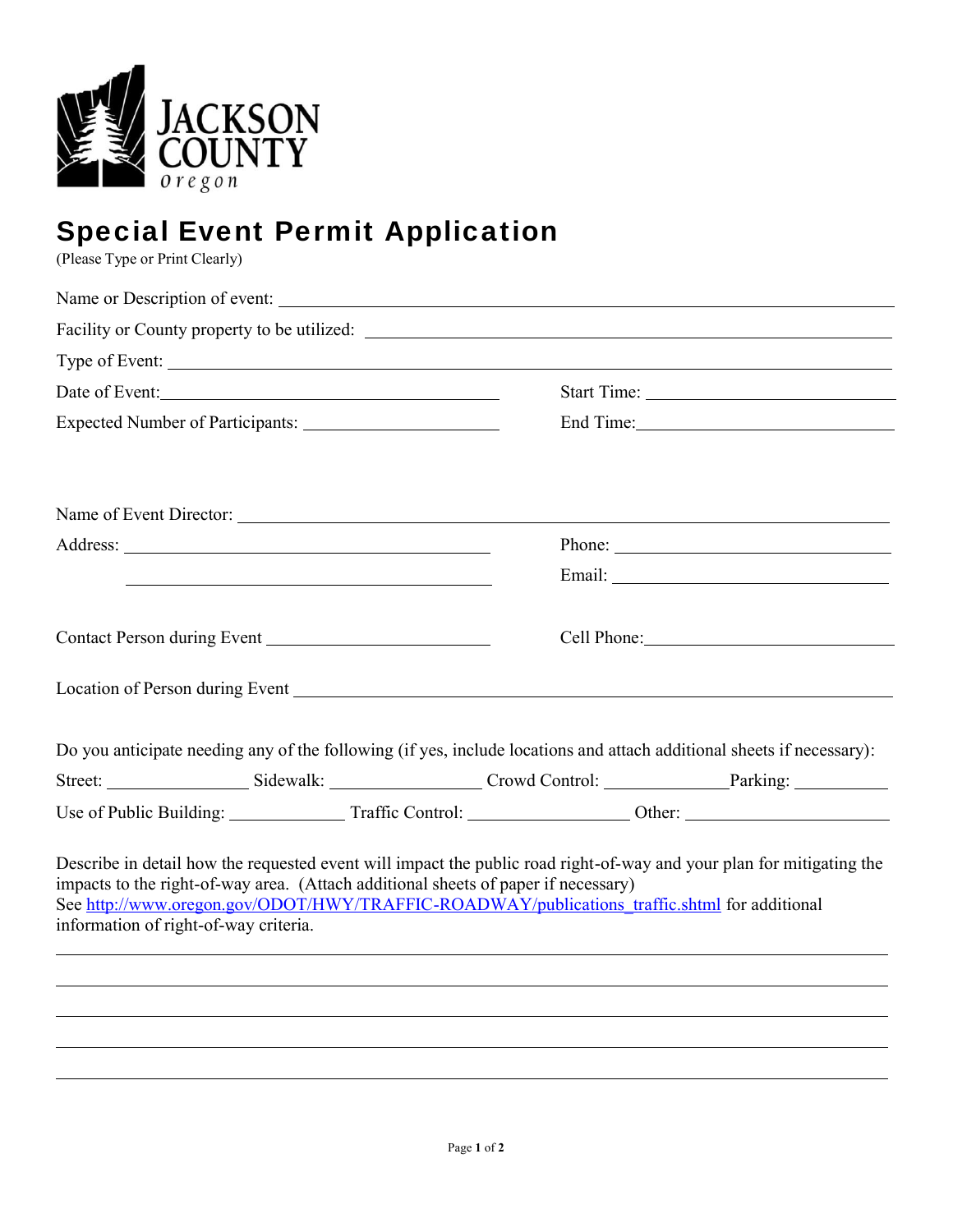

## Special Event Permit Application

(Please Type or Print Clearly)

|                                       | Name or Description of event:                                                                                                                                                                                                                                                                              |                                  |  |
|---------------------------------------|------------------------------------------------------------------------------------------------------------------------------------------------------------------------------------------------------------------------------------------------------------------------------------------------------------|----------------------------------|--|
|                                       | Facility or County property to be utilized:                                                                                                                                                                                                                                                                |                                  |  |
|                                       |                                                                                                                                                                                                                                                                                                            |                                  |  |
|                                       | Date of Event:                                                                                                                                                                                                                                                                                             |                                  |  |
|                                       |                                                                                                                                                                                                                                                                                                            | End Time: 1000 million and Time: |  |
|                                       |                                                                                                                                                                                                                                                                                                            |                                  |  |
|                                       |                                                                                                                                                                                                                                                                                                            | Phone:                           |  |
|                                       |                                                                                                                                                                                                                                                                                                            |                                  |  |
|                                       |                                                                                                                                                                                                                                                                                                            | Cell Phone: 2008                 |  |
|                                       | Location of Person during Event New York Changes and Security Assembly 1980.                                                                                                                                                                                                                               |                                  |  |
|                                       | Do you anticipate needing any of the following (if yes, include locations and attach additional sheets if necessary):                                                                                                                                                                                      |                                  |  |
|                                       |                                                                                                                                                                                                                                                                                                            |                                  |  |
|                                       |                                                                                                                                                                                                                                                                                                            |                                  |  |
| information of right-of-way criteria. | Describe in detail how the requested event will impact the public road right-of-way and your plan for mitigating the<br>impacts to the right-of-way area. (Attach additional sheets of paper if necessary)<br>See http://www.oregon.gov/ODOT/HWY/TRAFFIC-ROADWAY/publications traffic.shtml for additional |                                  |  |
|                                       |                                                                                                                                                                                                                                                                                                            |                                  |  |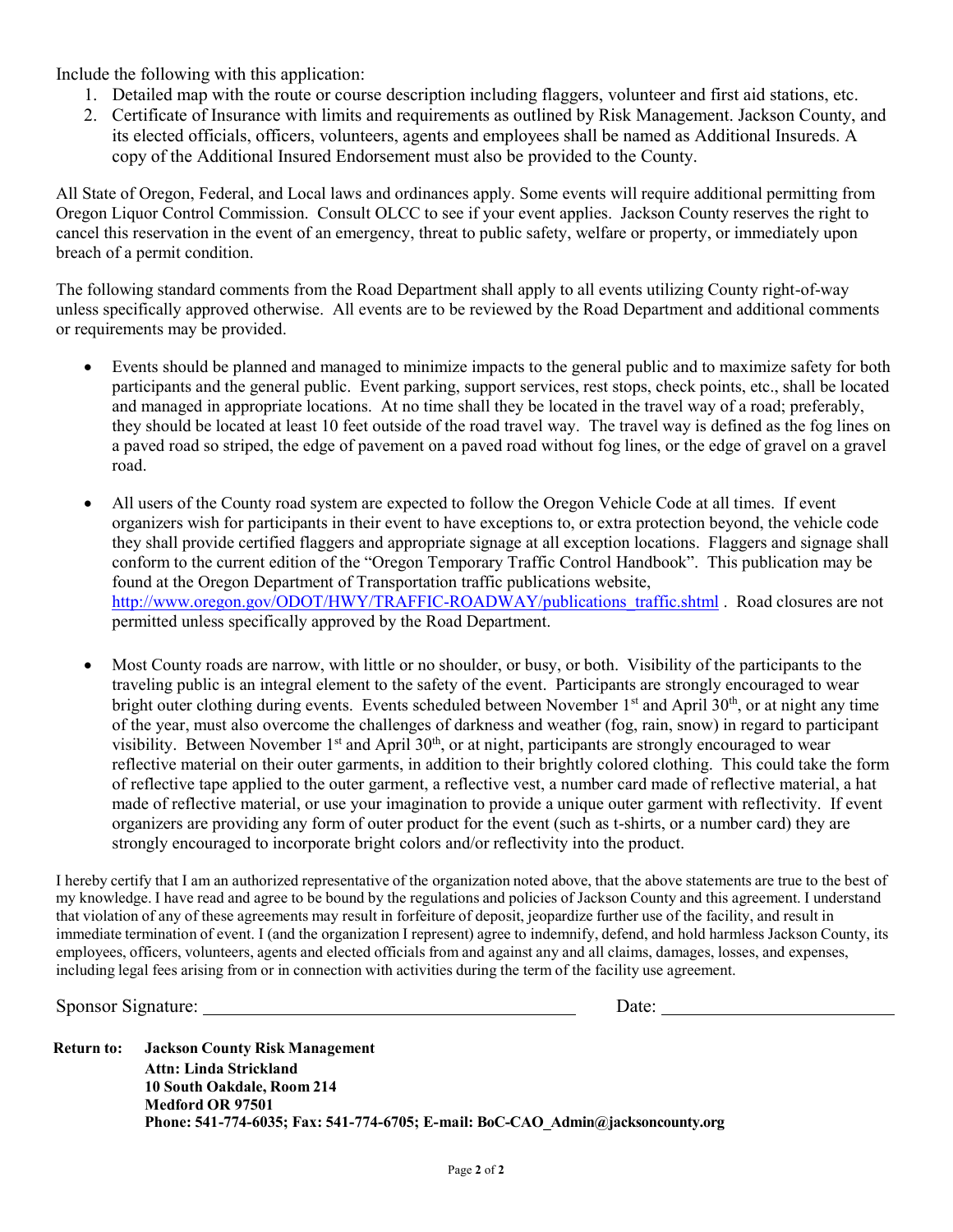Include the following with this application:

- 1. Detailed map with the route or course description including flaggers, volunteer and first aid stations, etc.
- 2. Certificate of Insurance with limits and requirements as outlined by Risk Management. Jackson County, and its elected officials, officers, volunteers, agents and employees shall be named as Additional Insureds. A copy of the Additional Insured Endorsement must also be provided to the County.

All State of Oregon, Federal, and Local laws and ordinances apply. Some events will require additional permitting from Oregon Liquor Control Commission. Consult OLCC to see if your event applies. Jackson County reserves the right to cancel this reservation in the event of an emergency, threat to public safety, welfare or property, or immediately upon breach of a permit condition.

The following standard comments from the Road Department shall apply to all events utilizing County right-of-way unless specifically approved otherwise. All events are to be reviewed by the Road Department and additional comments or requirements may be provided.

- Events should be planned and managed to minimize impacts to the general public and to maximize safety for both participants and the general public. Event parking, support services, rest stops, check points, etc., shall be located and managed in appropriate locations. At no time shall they be located in the travel way of a road; preferably, they should be located at least 10 feet outside of the road travel way. The travel way is defined as the fog lines on a paved road so striped, the edge of pavement on a paved road without fog lines, or the edge of gravel on a gravel road.
- All users of the County road system are expected to follow the Oregon Vehicle Code at all times. If event organizers wish for participants in their event to have exceptions to, or extra protection beyond, the vehicle code they shall provide certified flaggers and appropriate signage at all exception locations. Flaggers and signage shall conform to the current edition of the "Oregon Temporary Traffic Control Handbook". This publication may be found at the Oregon Department of Transportation traffic publications website, http://www.oregon.gov/ODOT/HWY/TRAFFIC-ROADWAY/publications\_traffic.shtml . Road closures are not permitted unless specifically approved by the Road Department.
- Most County roads are narrow, with little or no shoulder, or busy, or both. Visibility of the participants to the traveling public is an integral element to the safety of the event. Participants are strongly encouraged to wear bright outer clothing during events. Events scheduled between November  $1<sup>st</sup>$  and April 30<sup>th</sup>, or at night any time of the year, must also overcome the challenges of darkness and weather (fog, rain, snow) in regard to participant visibility. Between November  $1<sup>st</sup>$  and April 30<sup>th</sup>, or at night, participants are strongly encouraged to wear reflective material on their outer garments, in addition to their brightly colored clothing. This could take the form of reflective tape applied to the outer garment, a reflective vest, a number card made of reflective material, a hat made of reflective material, or use your imagination to provide a unique outer garment with reflectivity. If event organizers are providing any form of outer product for the event (such as t-shirts, or a number card) they are strongly encouraged to incorporate bright colors and/or reflectivity into the product.

I hereby certify that I am an authorized representative of the organization noted above, that the above statements are true to the best of my knowledge. I have read and agree to be bound by the regulations and policies of Jackson County and this agreement. I understand that violation of any of these agreements may result in forfeiture of deposit, jeopardize further use of the facility, and result in immediate termination of event. I (and the organization I represent) agree to indemnify, defend, and hold harmless Jackson County, its employees, officers, volunteers, agents and elected officials from and against any and all claims, damages, losses, and expenses, including legal fees arising from or in connection with activities during the term of the facility use agreement.

Sponsor Signature: Date: Date: Date: Date: Date: Date: Date: Date: Date: Date: Date: Date: Date: Date: Date: Date: Date: Date: Date: Date: Date: Date: Date: Date: Date: Date: Date: Date: Date: Date: Date: Date: Date: Date:

**Return to: Jackson County Risk Management Attn: Linda Strickland 10 South Oakdale, Room 214 Medford OR 97501 Phone: 541-774-6035; Fax: 541-774-6705; E-mail: BoC-CAO\_Admin@jacksoncounty.org**